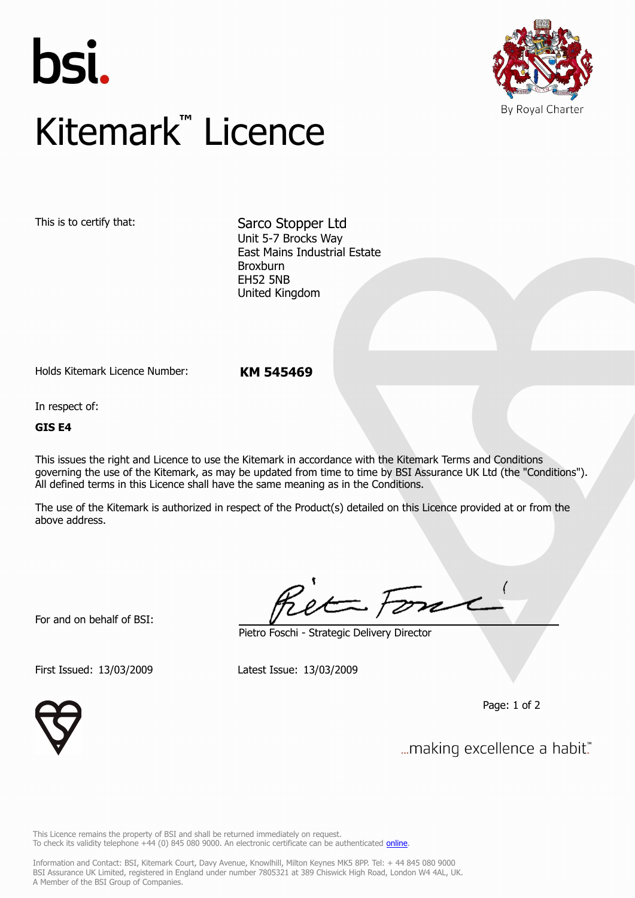



## Kitemark**™** Licence

This is to certify that: Sarco Stopper Ltd Unit 5-7 Brocks Way East Mains Industrial Estate Broxburn EH52 5NB United Kingdom

Holds Kitemark Licence Number: **KM 545469**

In respect of:

**GIS E4**

This issues the right and Licence to use the Kitemark in accordance with the Kitemark Terms and Conditions governing the use of the Kitemark, as may be updated from time to time by BSI Assurance UK Ltd (the "Conditions"). All defined terms in this Licence shall have the same meaning as in the Conditions.

The use of the Kitemark is authorized in respect of the Product(s) detailed on this Licence provided at or from the above address.

For and on behalf of BSI:

Pietro Foschi - Strategic Delivery Director

First Issued: 13/03/2009 Latest Issue: 13/03/2009

Page: 1 of 2



... making excellence a habit."

This Licence remains the property of BSI and shall be returned immediately on request. To check its validity telephone +44 (0) 845 080 9000. An electronic certificate can be authenticated *[online](https://pgplus.bsigroup.com/CertificateValidation/CertificateValidator.aspx?CertificateNumber=KM+545469&ReIssueDate=13%2f03%2f2009&Template=uk)*.

Information and Contact: BSI, Kitemark Court, Davy Avenue, Knowlhill, Milton Keynes MK5 8PP. Tel: + 44 845 080 9000 BSI Assurance UK Limited, registered in England under number 7805321 at 389 Chiswick High Road, London W4 4AL, UK. A Member of the BSI Group of Companies.